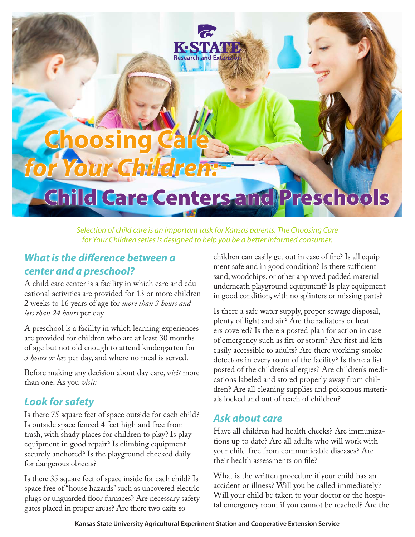# **Choosing Care** *for Your Children:*

# Child Care Centers and Preschools

KESTA **Research and Exten** 

*Selection of child care is an important task for Kansas parents. The Choosing Care for Your Children series is designed to help you be a better informed consumer.*

#### *What is the difference between a center and a preschool?*

A child care center is a facility in which care and educational activities are provided for 13 or more children 2 weeks to 16 years of age for *more than 3 hours and less than 24 hours* per day.

A preschool is a facility in which learning experiences are provided for children who are at least 30 months of age but not old enough to attend kindergarten for *3 hours or less* per day, and where no meal is served.

Before making any decision about day care, *visit* more than one. As you *visit:*

#### *Look for safety*

Is there 75 square feet of space outside for each child? Is outside space fenced 4 feet high and free from trash, with shady places for children to play? Is play equipment in good repair? Is climbing equipment securely anchored? Is the playground checked daily for dangerous objects?

Is there 35 square feet of space inside for each child? Is space free of "house hazards" such as uncovered electric plugs or unguarded floor furnaces? Are necessary safety gates placed in proper areas? Are there two exits so

children can easily get out in case of fire? Is all equipment safe and in good condition? Is there sufficient sand, woodchips, or other approved padded material underneath playground equipment? Is play equipment in good condition, with no splinters or missing parts?

Is there a safe water supply, proper sewage disposal, plenty of light and air? Are the radiators or heaters covered? Is there a posted plan for action in case of emergency such as fire or storm? Are first aid kits easily accessible to adults? Are there working smoke detectors in every room of the facility? Is there a list posted of the children's allergies? Are children's medications labeled and stored properly away from children? Are all cleaning supplies and poisonous materials locked and out of reach of children?

#### *Ask about care*

Have all children had health checks? Are immunizations up to date? Are all adults who will work with your child free from communicable diseases? Are their health assessments on file?

What is the written procedure if your child has an accident or illness? Will you be called immediately? Will your child be taken to your doctor or the hospital emergency room if you cannot be reached? Are the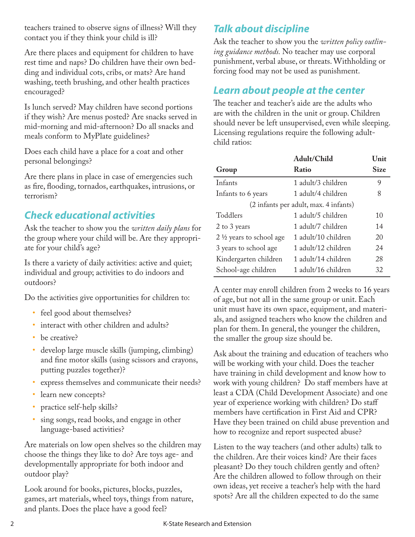teachers trained to observe signs of illness? Will they contact you if they think your child is ill?

Are there places and equipment for children to have rest time and naps? Do children have their own bedding and individual cots, cribs, or mats? Are hand washing, teeth brushing, and other health practices encouraged?

Is lunch served? May children have second portions if they wish? Are menus posted? Are snacks served in mid-morning and mid-afternoon? Do all snacks and meals conform to MyPlate guidelines?

Does each child have a place for a coat and other personal belongings?

Are there plans in place in case of emergencies such as fire, flooding, tornados, earthquakes, intrusions, or terrorism?

## *Check educational activities*

Ask the teacher to show you the *written daily plans* for the group where your child will be. Are they appropriate for your child's age?

Is there a variety of daily activities: active and quiet; individual and group; activities to do indoors and outdoors?

Do the activities give opportunities for children to:

- feel good about themselves?
- interact with other children and adults?
- be creative?
- develop large muscle skills (jumping, climbing) and fine motor skills (using scissors and crayons, putting puzzles together)?
- express themselves and communicate their needs?
- learn new concepts?
- practice self-help skills?
- • sing songs, read books, and engage in other language-based activities?

Are materials on low open shelves so the children may choose the things they like to do? Are toys age- and developmentally appropriate for both indoor and outdoor play?

Look around for books, pictures, blocks, puzzles, games, art materials, wheel toys, things from nature, and plants. Does the place have a good feel?

# *Talk about discipline*

Ask the teacher to show you the *written policy outlining guidance methods.* No teacher may use corporal punishment, verbal abuse, or threats. Withholding or forcing food may not be used as punishment.

#### *Learn about people at the center*

The teacher and teacher's aide are the adults who are with the children in the unit or group. Children should never be left unsupervised, even while sleeping. Licensing regulations require the following adultchild ratios:

|                                       | Adult/Child         | Unit |
|---------------------------------------|---------------------|------|
| Group                                 | Ratio               | Size |
| Infants                               | 1 adult/3 children  | 9    |
| Infants to 6 years                    | 1 adult/4 children  | 8    |
| (2 infants per adult, max. 4 infants) |                     |      |
| Toddlers                              | 1 adult/5 children  | 10   |
| 2 to 3 years                          | 1 adult/7 children  | 14   |
| 2 ½ years to school age               | 1 adult/10 children | 20   |
| 3 years to school age                 | 1 adult/12 children | 24   |
| Kindergarten children                 | 1 adult/14 children | 28   |
| School-age children                   | 1 adult/16 children | 32   |

A center may enroll children from 2 weeks to 16 years of age, but not all in the same group or unit. Each unit must have its own space, equipment, and materials, and assigned teachers who know the children and plan for them. In general, the younger the children, the smaller the group size should be.

Ask about the training and education of teachers who will be working with your child. Does the teacher have training in child development and know how to work with young children? Do staff members have at least a CDA (Child Development Associate) and one year of experience working with children? Do staff members have certification in First Aid and CPR? Have they been trained on child abuse prevention and how to recognize and report suspected abuse?

Listen to the way teachers (and other adults) talk to the children. Are their voices kind? Are their faces pleasant? Do they touch children gently and often? Are the children allowed to follow through on their own ideas, yet receive a teacher's help with the hard spots? Are all the children expected to do the same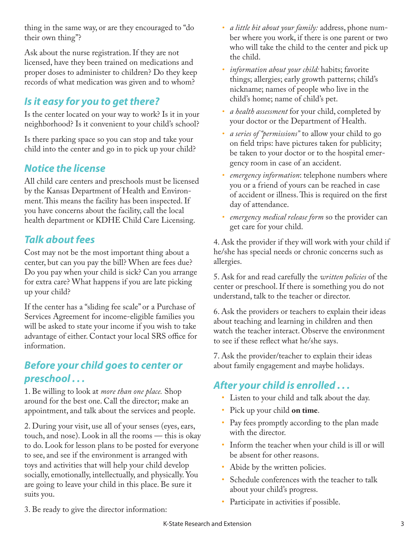thing in the same way, or are they encouraged to "do their own thing"?

Ask about the nurse registration. If they are not licensed, have they been trained on medications and proper doses to administer to children? Do they keep records of what medication was given and to whom?

# *Is it easy for you to get there?*

Is the center located on your way to work? Is it in your neighborhood? Is it convenient to your child's school?

Is there parking space so you can stop and take your child into the center and go in to pick up your child?

## *Notice the license*

All child care centers and preschools must be licensed by the Kansas Department of Health and Environment. This means the facility has been inspected. If you have concerns about the facility, call the local health department or KDHE Child Care Licensing.

#### *Talk about fees*

Cost may not be the most important thing about a center, but can you pay the bill? When are fees due? Do you pay when your child is sick? Can you arrange for extra care? What happens if you are late picking up your child?

If the center has a "sliding fee scale" or a Purchase of Services Agreement for income-eligible families you will be asked to state your income if you wish to take advantage of either. Contact your local SRS office for information.

#### *Before your child goes to center or preschool . . .*

1. Be willing to look at *more than one place.* Shop around for the best one. Call the director; make an appointment, and talk about the services and people.

2. During your visit, use all of your senses (eyes, ears, touch, and nose). Look in all the rooms — this is okay to do. Look for lesson plans to be posted for everyone to see, and see if the environment is arranged with toys and activities that will help your child develop socially, emotionally, intellectually, and physically. You are going to leave your child in this place. Be sure it suits you.

- *• a little bit about your family:* address, phone number where you work, if there is one parent or two who will take the child to the center and pick up the child.
- *information about your child:* habits; favorite things; allergies; early growth patterns; child's nickname; names of people who live in the child's home; name of child's pet.
- *• a health assessment* for your child, completed by your doctor or the Department of Health.
- *• a series of "permissions"* to allow your child to go on field trips: have pictures taken for publicity; be taken to your doctor or to the hospital emergency room in case of an accident.
- *• emergency information*: telephone numbers where you or a friend of yours can be reached in case of accident or illness. This is required on the first day of attendance.
- *• emergency medical release form* so the provider can get care for your child.

4. Ask the provider if they will work with your child if he/she has special needs or chronic concerns such as allergies.

5. Ask for and read carefully the *written policies* of the center or preschool. If there is something you do not understand, talk to the teacher or director.

6. Ask the providers or teachers to explain their ideas about teaching and learning in children and then watch the teacher interact. Observe the environment to see if these reflect what he/she says.

7. Ask the provider/teacher to explain their ideas about family engagement and maybe holidays.

#### *After your child is enrolled . . .*

- • Listen to your child and talk about the day.
- • Pick up your child **on time**.
- Pay fees promptly according to the plan made with the director.
- Inform the teacher when your child is ill or will be absent for other reasons.
- Abide by the written policies.
- • Schedule conferences with the teacher to talk about your child's progress.
- Participate in activities if possible.
- 3. Be ready to give the director information: